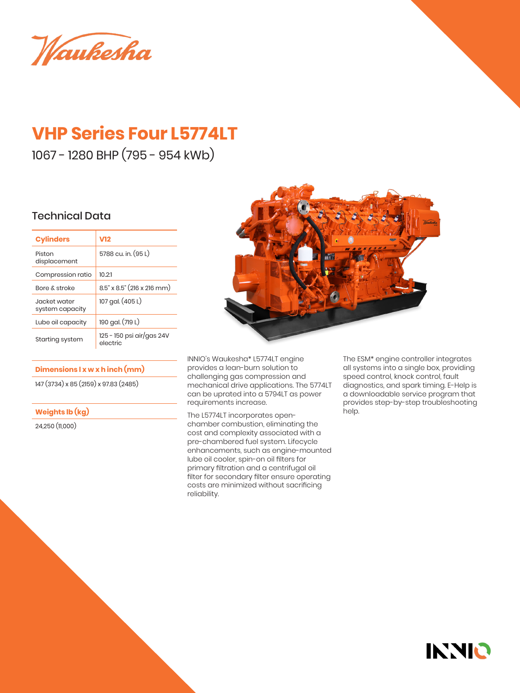Waukesha

# **VHP Series Four L5774LT**

1067 - 1280 BHP (795 - 954 kWb)

### Technical Data

| <b>Cylinders</b>                 | V12                                   |
|----------------------------------|---------------------------------------|
| Piston<br>displacement           | 5788 cu. in. (95 L)                   |
| Compression ratio                | 10 2 1                                |
| Bore & stroke                    | $8.5$ " x $8.5$ " (216 x 216 mm)      |
| .lacket water<br>system capacity | 107 gal. (405 L)                      |
| Lube oil capacity                | 190 gal. (719 L)                      |
| Starting system                  | 125 - 150 psi air/gas 24V<br>electric |

#### **Dimensions l x w x h inch (mm)**

147 (3734) x 85 (2159) x 97.83 (2485)

#### **Weights lb (kg)**

24,250 (11,000)



INNIO's Waukesha\* L5774LT engine provides a lean-burn solution to challenging gas compression and mechanical drive applications. The 5774LT can be uprated into a 5794LT as power requirements increase.

The L5774LT incorporates openchamber combustion, eliminating the cost and complexity associated with a pre-chambered fuel system. Lifecycle enhancements, such as engine-mounted lube oil cooler, spin-on oil filters for primary filtration and a centrifugal oil filter for secondary filter ensure operating costs are minimized without sacrificing reliability.

The ESM\* engine controller integrates all systems into a single box, providing speed control, knock control, fault diagnostics, and spark timing. E-Help is a downloadable service program that provides step-by-step troubleshooting help.